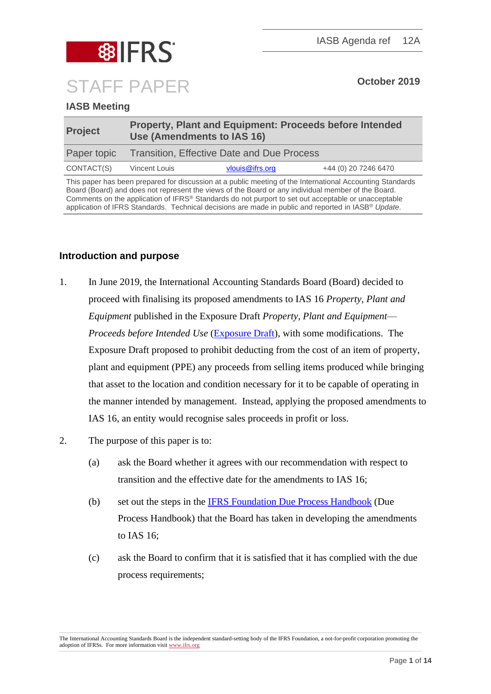

# **IASB Meeting**

| <b>Project</b> | <b>Property, Plant and Equipment: Proceeds before Intended</b><br>Use (Amendments to IAS 16) |                 |                      |  |  |
|----------------|----------------------------------------------------------------------------------------------|-----------------|----------------------|--|--|
| Paper topic    | Transition, Effective Date and Due Process                                                   |                 |                      |  |  |
| CONTACT(S)     | Vincent Louis                                                                                | vlouis@ifrs.org | +44 (0) 20 7246 6470 |  |  |

This paper has been prepared for discussion at a public meeting of the International Accounting Standards Board (Board) and does not represent the views of the Board or any individual member of the Board. Comments on the application of IFRS® Standards do not purport to set out acceptable or unacceptable application of IFRS Standards. Technical decisions are made in public and reported in IASB® *Update*.

## **Introduction and purpose**

- 1. In June 2019, the International Accounting Standards Board (Board) decided to proceed with finalising its proposed amendments to IAS 16 *Property, Plant and Equipment* published in the Exposure Draft *Property, Plant and Equipment–– Proceeds before Intended Use* [\(Exposure Dr](https://www.ifrs.org/-/media/project/property-plant-and-equipment/exposure-draft/exposure-draft-property-plant-equipment-june-2017.pdf)aft), with some modifications. The Exposure Draft proposed to prohibit deducting from the cost of an item of property, plant and equipment (PPE) any proceeds from selling items produced while bringing that asset to the location and condition necessary for it to be capable of operating in the manner intended by management. Instead, applying the proposed amendments to IAS 16, an entity would recognise sales proceeds in profit or loss.
- 2. The purpose of this paper is to:
	- (a) ask the Board whether it agrees with our recommendation with respect to transition and the effective date for the amendments to IAS 16;
	- (b) set out the steps in the [IFRS Foundation Due Process Handbook](https://www.ifrs.org/-/media/feature/about-us/legal-and-governance/constitution-docs/due-process-handbook.pdf) (Due Process Handbook) that the Board has taken in developing the amendments to IAS 16;
	- (c) ask the Board to confirm that it is satisfied that it has complied with the due process requirements;

The International Accounting Standards Board is the independent standard-setting body of the IFRS Foundation, a not-for-profit corporation promoting the adoption of IFRSs. For more information visi[t www.ifrs.org](http://www.ifrs.org/)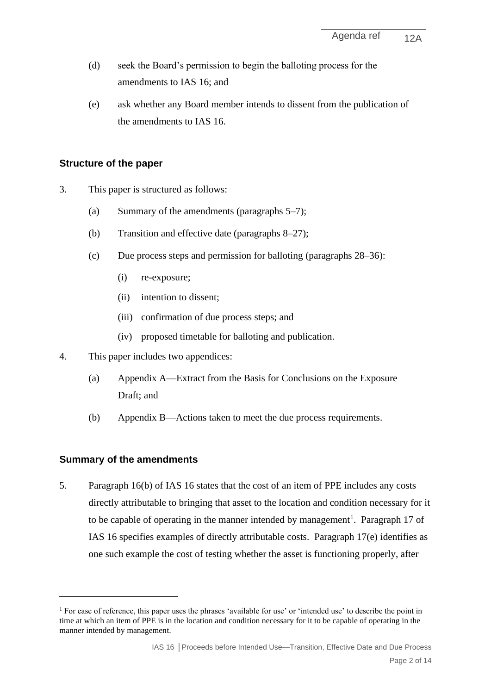- (d) seek the Board's permission to begin the balloting process for the amendments to IAS 16; and
- (e) ask whether any Board member intends to dissent from the publication of the amendments to IAS 16.

## **Structure of the paper**

- 3. This paper is structured as follows:
	- (a) Summary of the amendments (paragraphs 5[–7\)](#page-2-0);
	- (b) Transition and effective date (paragraphs [8](#page-3-0)[–27\)](#page-7-0);
	- (c) Due process steps and permission for balloting (paragraphs [28](#page-8-0)[–36\)](#page-10-0):
		- (i) re-exposure;
		- (ii) intention to dissent;
		- (iii) confirmation of due process steps; and
		- (iv) proposed timetable for balloting and publication.
- 4. This paper includes two appendices:
	- (a) Appendix A––Extract from the Basis for Conclusions on the Exposure Draft; and
	- (b) Appendix B––Actions taken to meet the due process requirements.

## **Summary of the amendments**

<span id="page-1-0"></span>5. Paragraph 16(b) of IAS 16 states that the cost of an item of PPE includes any costs directly attributable to bringing that asset to the location and condition necessary for it to be capable of operating in the manner intended by management<sup>1</sup>. Paragraph 17 of IAS 16 specifies examples of directly attributable costs. Paragraph 17(e) identifies as one such example the cost of testing whether the asset is functioning properly, after

<sup>&</sup>lt;sup>1</sup> For ease of reference, this paper uses the phrases 'available for use' or 'intended use' to describe the point in time at which an item of PPE is in the location and condition necessary for it to be capable of operating in the manner intended by management.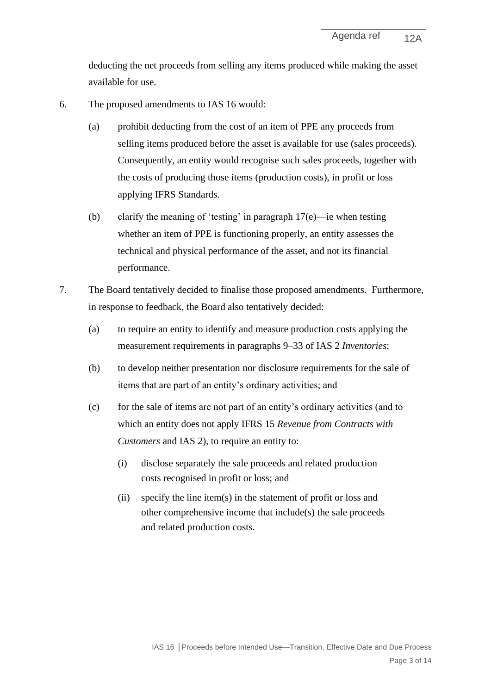deducting the net proceeds from selling any items produced while making the asset available for use.

- 6. The proposed amendments to IAS 16 would:
	- (a) prohibit deducting from the cost of an item of PPE any proceeds from selling items produced before the asset is available for use (sales proceeds). Consequently, an entity would recognise such sales proceeds, together with the costs of producing those items (production costs), in profit or loss applying IFRS Standards.
	- (b) clarify the meaning of 'testing' in paragraph 17(e)—ie when testing whether an item of PPE is functioning properly, an entity assesses the technical and physical performance of the asset, and not its financial performance.
- <span id="page-2-0"></span>7. The Board tentatively decided to finalise those proposed amendments. Furthermore, in response to feedback, the Board also tentatively decided:
	- (a) to require an entity to identify and measure production costs applying the measurement requirements in paragraphs 9–33 of IAS 2 *Inventories*;
	- (b) to develop neither presentation nor disclosure requirements for the sale of items that are part of an entity's ordinary activities; and
	- (c) for the sale of items are not part of an entity's ordinary activities (and to which an entity does not apply IFRS 15 *Revenue from Contracts with Customers* and IAS 2), to require an entity to:
		- (i) disclose separately the sale proceeds and related production costs recognised in profit or loss; and
		- (ii) specify the line item(s) in the statement of profit or loss and other comprehensive income that include(s) the sale proceeds and related production costs.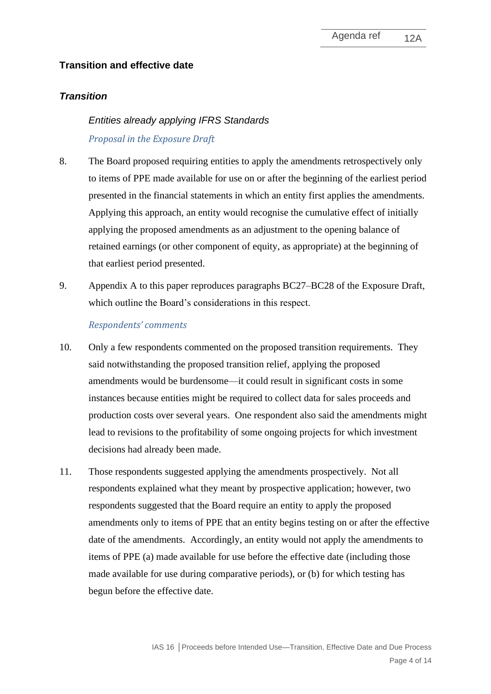# **Transition and effective date**

## *Transition*

# *Entities already applying IFRS Standards Proposal in the Exposure Draft*

- <span id="page-3-0"></span>8. The Board proposed requiring entities to apply the amendments retrospectively only to items of PPE made available for use on or after the beginning of the earliest period presented in the financial statements in which an entity first applies the amendments. Applying this approach, an entity would recognise the cumulative effect of initially applying the proposed amendments as an adjustment to the opening balance of retained earnings (or other component of equity, as appropriate) at the beginning of that earliest period presented.
- 9. Appendix A to this paper reproduces paragraphs BC27–BC28 of the Exposure Draft, which outline the Board's considerations in this respect.

## *Respondents' comments*

- 10. Only a few respondents commented on the proposed transition requirements. They said notwithstanding the proposed transition relief, applying the proposed amendments would be burdensome—it could result in significant costs in some instances because entities might be required to collect data for sales proceeds and production costs over several years. One respondent also said the amendments might lead to revisions to the profitability of some ongoing projects for which investment decisions had already been made.
- 11. Those respondents suggested applying the amendments prospectively. Not all respondents explained what they meant by prospective application; however, two respondents suggested that the Board require an entity to apply the proposed amendments only to items of PPE that an entity begins testing on or after the effective date of the amendments. Accordingly, an entity would not apply the amendments to items of PPE (a) made available for use before the effective date (including those made available for use during comparative periods), or (b) for which testing has begun before the effective date.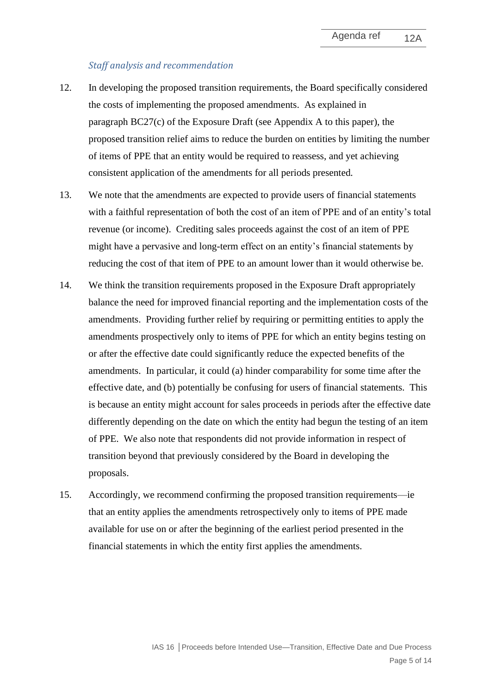#### *Staff analysis and recommendation*

- 12. In developing the proposed transition requirements, the Board specifically considered the costs of implementing the proposed amendments. As explained in paragraph BC27(c) of the Exposure Draft (see Appendix A to this paper), the proposed transition relief aims to reduce the burden on entities by limiting the number of items of PPE that an entity would be required to reassess, and yet achieving consistent application of the amendments for all periods presented*.*
- 13. We note that the amendments are expected to provide users of financial statements with a faithful representation of both the cost of an item of PPE and of an entity's total revenue (or income). Crediting sales proceeds against the cost of an item of PPE might have a pervasive and long-term effect on an entity's financial statements by reducing the cost of that item of PPE to an amount lower than it would otherwise be.
- 14. We think the transition requirements proposed in the Exposure Draft appropriately balance the need for improved financial reporting and the implementation costs of the amendments. Providing further relief by requiring or permitting entities to apply the amendments prospectively only to items of PPE for which an entity begins testing on or after the effective date could significantly reduce the expected benefits of the amendments. In particular, it could (a) hinder comparability for some time after the effective date, and (b) potentially be confusing for users of financial statements. This is because an entity might account for sales proceeds in periods after the effective date differently depending on the date on which the entity had begun the testing of an item of PPE. We also note that respondents did not provide information in respect of transition beyond that previously considered by the Board in developing the proposals.
- <span id="page-4-0"></span>15. Accordingly, we recommend confirming the proposed transition requirements—ie that an entity applies the amendments retrospectively only to items of PPE made available for use on or after the beginning of the earliest period presented in the financial statements in which the entity first applies the amendments.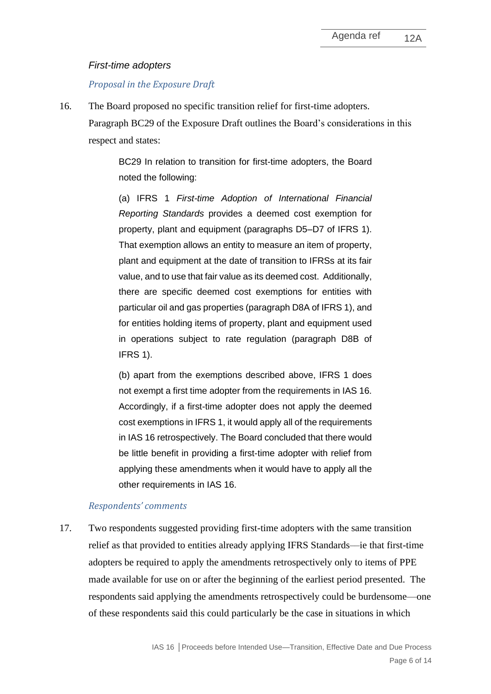#### *First-time adopters*

#### *Proposal in the Exposure Draft*

16. The Board proposed no specific transition relief for first-time adopters. Paragraph BC29 of the Exposure Draft outlines the Board's considerations in this respect and states:

> BC29 In relation to transition for first-time adopters, the Board noted the following:

> (a) IFRS 1 *First-time Adoption of International Financial Reporting Standards* provides a deemed cost exemption for property, plant and equipment (paragraphs D5–D7 of IFRS 1). That exemption allows an entity to measure an item of property, plant and equipment at the date of transition to IFRSs at its fair value, and to use that fair value as its deemed cost. Additionally, there are specific deemed cost exemptions for entities with particular oil and gas properties (paragraph D8A of IFRS 1), and for entities holding items of property, plant and equipment used in operations subject to rate regulation (paragraph D8B of IFRS 1).

> (b) apart from the exemptions described above, IFRS 1 does not exempt a first time adopter from the requirements in IAS 16. Accordingly, if a first-time adopter does not apply the deemed cost exemptions in IFRS 1, it would apply all of the requirements in IAS 16 retrospectively. The Board concluded that there would be little benefit in providing a first-time adopter with relief from applying these amendments when it would have to apply all the other requirements in IAS 16.

#### *Respondents' comments*

17. Two respondents suggested providing first-time adopters with the same transition relief as that provided to entities already applying IFRS Standards––ie that first-time adopters be required to apply the amendments retrospectively only to items of PPE made available for use on or after the beginning of the earliest period presented. The respondents said applying the amendments retrospectively could be burdensome—one of these respondents said this could particularly be the case in situations in which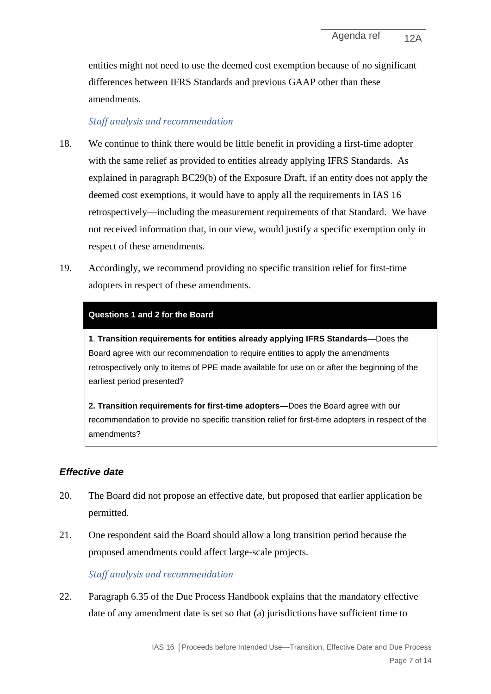entities might not need to use the deemed cost exemption because of no significant differences between IFRS Standards and previous GAAP other than these amendments.

## *Staff analysis and recommendation*

- 18. We continue to think there would be little benefit in providing a first-time adopter with the same relief as provided to entities already applying IFRS Standards. As explained in paragraph BC29(b) of the Exposure Draft, if an entity does not apply the deemed cost exemptions, it would have to apply all the requirements in IAS 16 retrospectively—including the measurement requirements of that Standard. We have not received information that, in our view, would justify a specific exemption only in respect of these amendments.
- 19. Accordingly, we recommend providing no specific transition relief for first-time adopters in respect of these amendments.

#### **Questions 1 and 2 for the Board**

**1**. **Transition requirements for entities already applying IFRS Standards**—Does the Board agree with our recommendation to require entities to apply the amendments retrospectively only to items of PPE made available for use on or after the beginning of the earliest period presented?

**2. Transition requirements for first-time adopters**—Does the Board agree with our recommendation to provide no specific transition relief for first-time adopters in respect of the amendments?

## *Effective date*

- <span id="page-6-0"></span>20. The Board did not propose an effective date, but proposed that earlier application be permitted.
- 21. One respondent said the Board should allow a long transition period because the proposed amendments could affect large-scale projects.

#### *Staff analysis and recommendation*

22. Paragraph 6.35 of the Due Process Handbook explains that the mandatory effective date of any amendment date is set so that (a) jurisdictions have sufficient time to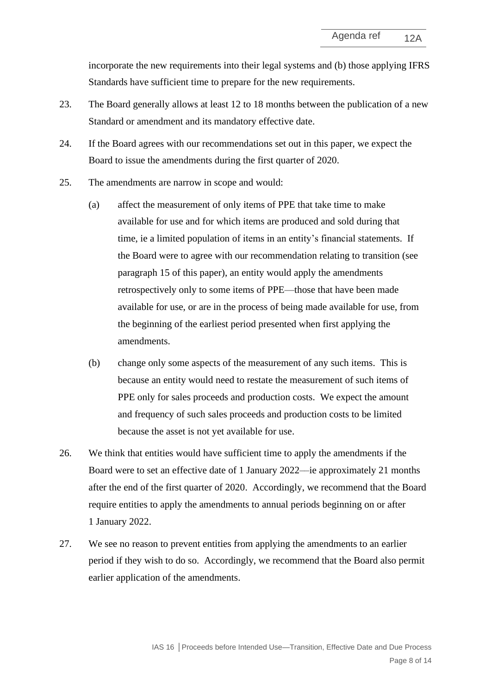incorporate the new requirements into their legal systems and (b) those applying IFRS Standards have sufficient time to prepare for the new requirements.

- 23. The Board generally allows at least 12 to 18 months between the publication of a new Standard or amendment and its mandatory effective date.
- 24. If the Board agrees with our recommendations set out in this paper, we expect the Board to issue the amendments during the first quarter of 2020.
- 25. The amendments are narrow in scope and would:
	- (a) affect the measurement of only items of PPE that take time to make available for use and for which items are produced and sold during that time, ie a limited population of items in an entity's financial statements. If the Board were to agree with our recommendation relating to transition (see paragraph [15](#page-4-0) of this paper), an entity would apply the amendments retrospectively only to some items of PPE—those that have been made available for use, or are in the process of being made available for use, from the beginning of the earliest period presented when first applying the amendments.
	- (b) change only some aspects of the measurement of any such items. This is because an entity would need to restate the measurement of such items of PPE only for sales proceeds and production costs. We expect the amount and frequency of such sales proceeds and production costs to be limited because the asset is not yet available for use.
- 26. We think that entities would have sufficient time to apply the amendments if the Board were to set an effective date of 1 January 2022––ie approximately 21 months after the end of the first quarter of 2020. Accordingly, we recommend that the Board require entities to apply the amendments to annual periods beginning on or after 1 January 2022.
- <span id="page-7-0"></span>27. We see no reason to prevent entities from applying the amendments to an earlier period if they wish to do so. Accordingly, we recommend that the Board also permit earlier application of the amendments.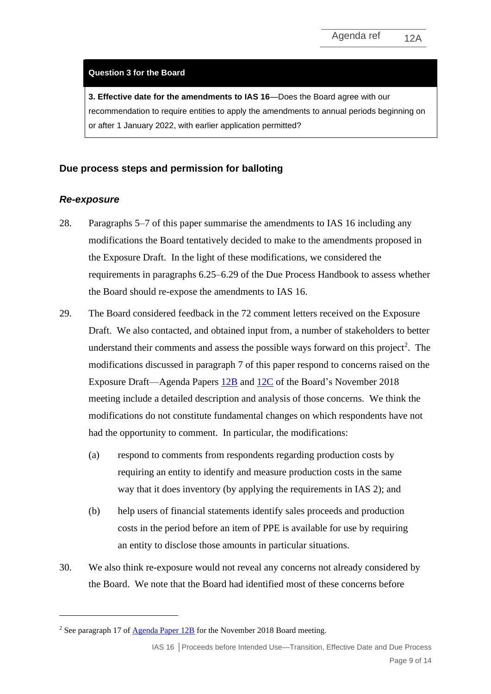#### **Question 3 for the Board**

**3. Effective date for the amendments to IAS 16**—Does the Board agree with our recommendation to require entities to apply the amendments to annual periods beginning on or after 1 January 2022, with earlier application permitted?

## **Due process steps and permission for balloting**

#### *Re-exposure*

- <span id="page-8-0"></span>28. Paragraphs [5–](#page-1-0)[7](#page-2-0) of this paper summarise the amendments to IAS 16 including any modifications the Board tentatively decided to make to the amendments proposed in the Exposure Draft. In the light of these modifications, we considered the requirements in paragraphs 6.25–6.29 of the Due Process Handbook to assess whether the Board should re-expose the amendments to IAS 16.
- 29. The Board considered feedback in the 72 comment letters received on the Exposure Draft. We also contacted, and obtained input from, a number of stakeholders to better understand their comments and assess the possible ways forward on this project<sup>2</sup>. The modifications discussed in paragraph [7](#page-2-0) of this paper respond to concerns raised on the Exposure Draft—Agenda Papers [12B](https://www.ifrs.org/-/media/feature/meetings/2018/november/iasb/ap12b-ias16.pdf) and [12C](https://www.ifrs.org/-/media/feature/meetings/2018/november/iasb/ap12c-ias16.pdf) of the Board's November 2018 meeting include a detailed description and analysis of those concerns. We think the modifications do not constitute fundamental changes on which respondents have not had the opportunity to comment. In particular, the modifications:
	- (a) respond to comments from respondents regarding production costs by requiring an entity to identify and measure production costs in the same way that it does inventory (by applying the requirements in IAS 2); and
	- (b) help users of financial statements identify sales proceeds and production costs in the period before an item of PPE is available for use by requiring an entity to disclose those amounts in particular situations.
- 30. We also think re-exposure would not reveal any concerns not already considered by the Board. We note that the Board had identified most of these concerns before

<sup>&</sup>lt;sup>2</sup> See paragraph 17 o[f Agenda Paper 12B](https://www.ifrs.org/-/media/feature/meetings/2018/november/iasb/ap12b-ias16.pdf) for the November 2018 Board meeting.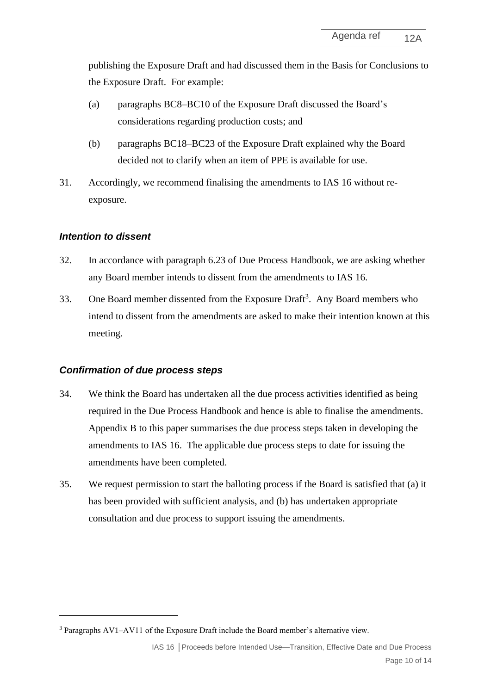publishing the Exposure Draft and had discussed them in the Basis for Conclusions to the Exposure Draft. For example:

- (a) paragraphs BC8–BC10 of the Exposure Draft discussed the Board's considerations regarding production costs; and
- (b) paragraphs BC18–BC23 of the Exposure Draft explained why the Board decided not to clarify when an item of PPE is available for use.
- <span id="page-9-0"></span>31. Accordingly, we recommend finalising the amendments to IAS 16 without reexposure.

## *Intention to dissent*

- 32. In accordance with paragraph 6.23 of Due Process Handbook, we are asking whether any Board member intends to dissent from the amendments to IAS 16.
- 33. One Board member dissented from the Exposure Draft<sup>3</sup>. Any Board members who intend to dissent from the amendments are asked to make their intention known at this meeting.

## *Confirmation of due process steps*

- 34. We think the Board has undertaken all the due process activities identified as being required in the Due Process Handbook and hence is able to finalise the amendments. Appendix B to this paper summarises the due process steps taken in developing the amendments to IAS 16. The applicable due process steps to date for issuing the amendments have been completed.
- 35. We request permission to start the balloting process if the Board is satisfied that (a) it has been provided with sufficient analysis, and (b) has undertaken appropriate consultation and due process to support issuing the amendments.

<sup>3</sup> Paragraphs AV1–AV11 of the Exposure Draft include the Board member's alternative view.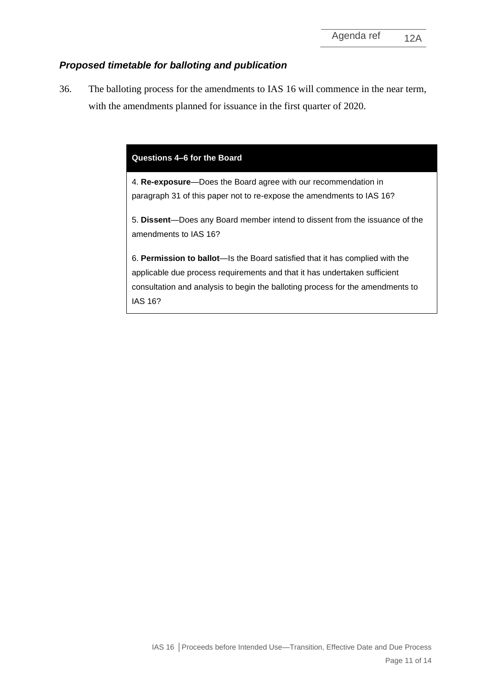## *Proposed timetable for balloting and publication*

<span id="page-10-0"></span>36. The balloting process for the amendments to IAS 16 will commence in the near term, with the amendments planned for issuance in the first quarter of 2020.

#### **Questions 4–6 for the Board**

4. **Re-exposure**—Does the Board agree with our recommendation in paragraph [31](#page-9-0) of this paper not to re-expose the amendments to IAS 16?

5. **Dissent**—Does any Board member intend to dissent from the issuance of the amendments to IAS 16?

6. **Permission to ballot**—Is the Board satisfied that it has complied with the applicable due process requirements and that it has undertaken sufficient consultation and analysis to begin the balloting process for the amendments to IAS 16?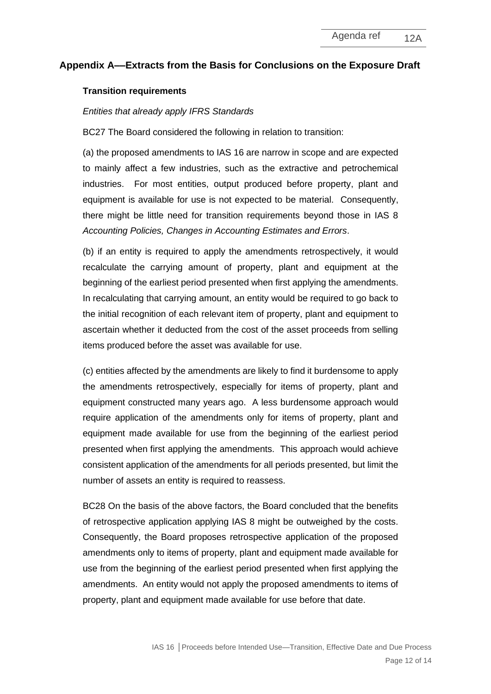## **Appendix A––Extracts from the Basis for Conclusions on the Exposure Draft**

#### **Transition requirements**

#### *Entities that already apply IFRS Standards*

BC27 The Board considered the following in relation to transition:

(a) the proposed amendments to IAS 16 are narrow in scope and are expected to mainly affect a few industries, such as the extractive and petrochemical industries. For most entities, output produced before property, plant and equipment is available for use is not expected to be material. Consequently, there might be little need for transition requirements beyond those in IAS 8 *Accounting Policies, Changes in Accounting Estimates and Errors*.

(b) if an entity is required to apply the amendments retrospectively, it would recalculate the carrying amount of property, plant and equipment at the beginning of the earliest period presented when first applying the amendments. In recalculating that carrying amount, an entity would be required to go back to the initial recognition of each relevant item of property, plant and equipment to ascertain whether it deducted from the cost of the asset proceeds from selling items produced before the asset was available for use.

(c) entities affected by the amendments are likely to find it burdensome to apply the amendments retrospectively, especially for items of property, plant and equipment constructed many years ago. A less burdensome approach would require application of the amendments only for items of property, plant and equipment made available for use from the beginning of the earliest period presented when first applying the amendments. This approach would achieve consistent application of the amendments for all periods presented, but limit the number of assets an entity is required to reassess.

BC28 On the basis of the above factors, the Board concluded that the benefits of retrospective application applying IAS 8 might be outweighed by the costs. Consequently, the Board proposes retrospective application of the proposed amendments only to items of property, plant and equipment made available for use from the beginning of the earliest period presented when first applying the amendments. An entity would not apply the proposed amendments to items of property, plant and equipment made available for use before that date.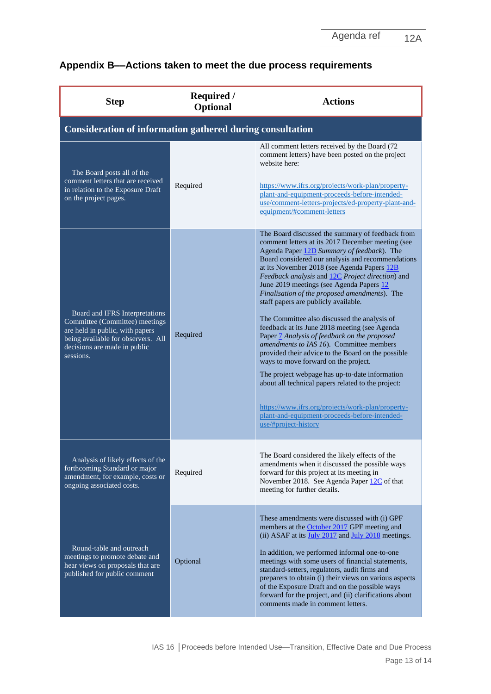| Appendix B--Actions taken to meet the due process requirements |  |  |  |
|----------------------------------------------------------------|--|--|--|
|                                                                |  |  |  |

| <b>Step</b>                                                                                                                                                                            | <b>Required</b> /<br><b>Optional</b> | <b>Actions</b>                                                                                                                                                                                                                                                                                                                                                                                                                                                                                                                                                                                                                                                                                                                                                                                                                                                                                                                                                                    |  |  |  |
|----------------------------------------------------------------------------------------------------------------------------------------------------------------------------------------|--------------------------------------|-----------------------------------------------------------------------------------------------------------------------------------------------------------------------------------------------------------------------------------------------------------------------------------------------------------------------------------------------------------------------------------------------------------------------------------------------------------------------------------------------------------------------------------------------------------------------------------------------------------------------------------------------------------------------------------------------------------------------------------------------------------------------------------------------------------------------------------------------------------------------------------------------------------------------------------------------------------------------------------|--|--|--|
| Consideration of information gathered during consultation                                                                                                                              |                                      |                                                                                                                                                                                                                                                                                                                                                                                                                                                                                                                                                                                                                                                                                                                                                                                                                                                                                                                                                                                   |  |  |  |
| The Board posts all of the<br>comment letters that are received<br>in relation to the Exposure Draft<br>on the project pages.                                                          | Required                             | All comment letters received by the Board (72)<br>comment letters) have been posted on the project<br>website here:<br>https://www.ifrs.org/projects/work-plan/property-<br>plant-and-equipment-proceeds-before-intended-<br>use/comment-letters-projects/ed-property-plant-and-<br>equipment/#comment-letters                                                                                                                                                                                                                                                                                                                                                                                                                                                                                                                                                                                                                                                                    |  |  |  |
| Board and IFRS Interpretations<br>Committee (Committee) meetings<br>are held in public, with papers<br>being available for observers. All<br>decisions are made in public<br>sessions. | Required                             | The Board discussed the summary of feedback from<br>comment letters at its 2017 December meeting (see<br>Agenda Paper 12D Summary of feedback). The<br>Board considered our analysis and recommendations<br>at its November 2018 (see Agenda Papers 12B<br>Feedback analysis and 12C Project direction) and<br>June 2019 meetings (see Agenda Papers 12<br>Finalisation of the proposed amendments). The<br>staff papers are publicly available.<br>The Committee also discussed the analysis of<br>feedback at its June 2018 meeting (see Agenda<br>Paper 7 Analysis of feedback on the proposed<br>amendments to IAS 16). Committee members<br>provided their advice to the Board on the possible<br>ways to move forward on the project.<br>The project webpage has up-to-date information<br>about all technical papers related to the project:<br>https://www.ifrs.org/projects/work-plan/property-<br>plant-and-equipment-proceeds-before-intended-<br>use/#project-history |  |  |  |
| Analysis of likely effects of the<br>forthcoming Standard or major<br>amendment, for example, costs or<br>ongoing associated costs.                                                    | Required                             | The Board considered the likely effects of the<br>amendments when it discussed the possible ways<br>forward for this project at its meeting in<br>November 2018. See Agenda Paper 12C of that<br>meeting for further details.                                                                                                                                                                                                                                                                                                                                                                                                                                                                                                                                                                                                                                                                                                                                                     |  |  |  |
| Round-table and outreach<br>meetings to promote debate and<br>hear views on proposals that are<br>published for public comment                                                         | Optional                             | These amendments were discussed with (i) GPF<br>members at the October 2017 GPF meeting and<br>(ii) ASAF at its July 2017 and July 2018 meetings.<br>In addition, we performed informal one-to-one<br>meetings with some users of financial statements,<br>standard-setters, regulators, audit firms and<br>preparers to obtain (i) their views on various aspects<br>of the Exposure Draft and on the possible ways<br>forward for the project, and (ii) clarifications about<br>comments made in comment letters.                                                                                                                                                                                                                                                                                                                                                                                                                                                               |  |  |  |